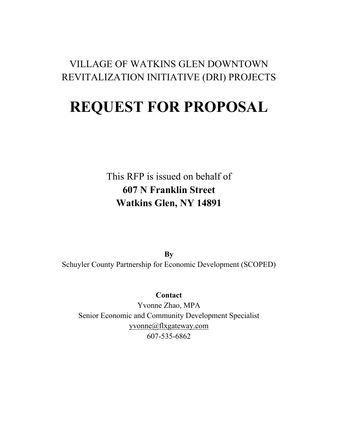### VILLAGE OF WATKINS GLEN DOWNTOWN REVITALIZATION INITIATIVE (DRI) PROJECTS

# **REQUEST FOR PROPOSAL**

This RFP is issued on behalf of **607 N Franklin Street Watkins Glen, NY 14891**

**By** Schuyler County Partnership for Economic Development (SCOPED)

#### **Contact**

Yvonne Zhao, MPA Senior Economic and Community Development Specialist [yvonne@flxgateway.com](mailto:yvonne@flxgateway.com) 607-535-6862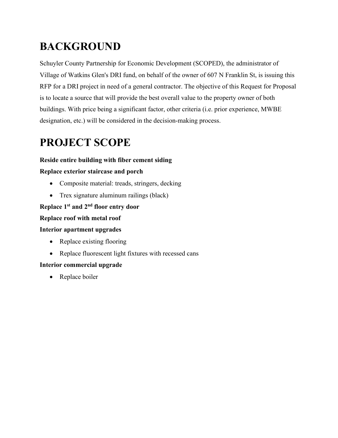# **BACKGROUND**

Schuyler County Partnership for Economic Development (SCOPED), the administrator of Village of Watkins Glen's DRI fund, on behalf of the owner of 607 N Franklin St, is issuing this RFP for a DRI project in need of a general contractor. The objective of this Request for Proposal is to locate a source that will provide the best overall value to the property owner of both buildings. With price being a significant factor, other criteria (i.e. prior experience, MWBE designation, etc.) will be considered in the decision-making process.

# **PROJECT SCOPE**

#### **Reside entire building with fiber cement siding**

#### **Replace exterior staircase and porch**

- Composite material: treads, stringers, decking
- Trex signature aluminum railings (black)

#### **Replace 1st and 2nd floor entry door**

#### **Replace roof with metal roof**

#### **Interior apartment upgrades**

- Replace existing flooring
- Replace fluorescent light fixtures with recessed cans

#### **Interior commercial upgrade**

• Replace boiler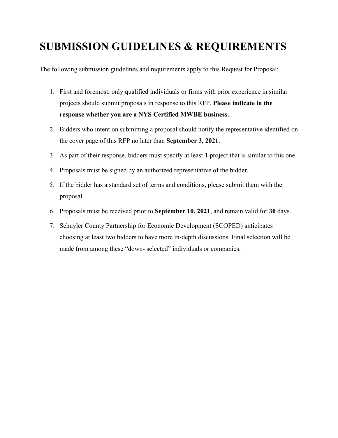## **SUBMISSION GUIDELINES & REQUIREMENTS**

The following submission guidelines and requirements apply to this Request for Proposal:

- 1. First and foremost, only qualified individuals or firms with prior experience in similar projects should submit proposals in response to this RFP. **Please indicate in the response whether you are a NYS Certified MWBE business.**
- 2. Bidders who intent on submitting a proposal should notify the representative identified on the cover page of this RFP no later than **September 3, 2021**.
- 3. As part of their response, bidders must specify at least **1** project that is similar to this one.
- 4. Proposals must be signed by an authorized representative of the bidder.
- 5. If the bidder has a standard set of terms and conditions, please submit them with the proposal.
- 6. Proposals must be received prior to **September 10, 2021**, and remain valid for **30** days.
- 7. Schuyler County Partnership for Economic Development (SCOPED) anticipates choosing at least two bidders to have more in-depth discussions. Final selection will be made from among these "down- selected" individuals or companies.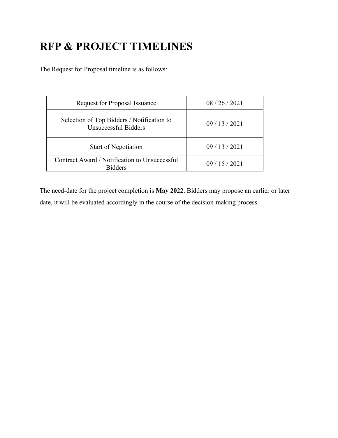# **RFP & PROJECT TIMELINES**

The Request for Proposal timeline is as follows:

| <b>Request for Proposal Issuance</b>                               | 08/26/2021 |
|--------------------------------------------------------------------|------------|
| Selection of Top Bidders / Notification to<br>Unsuccessful Bidders | 09/13/2021 |
| <b>Start of Negotiation</b>                                        | 09/13/2021 |
| Contract Award / Notification to Unsuccessful<br><b>Ridders</b>    | 09/15/2021 |

The need-date for the project completion is **May 2022**. Bidders may propose an earlier or later date, it will be evaluated accordingly in the course of the decision-making process.